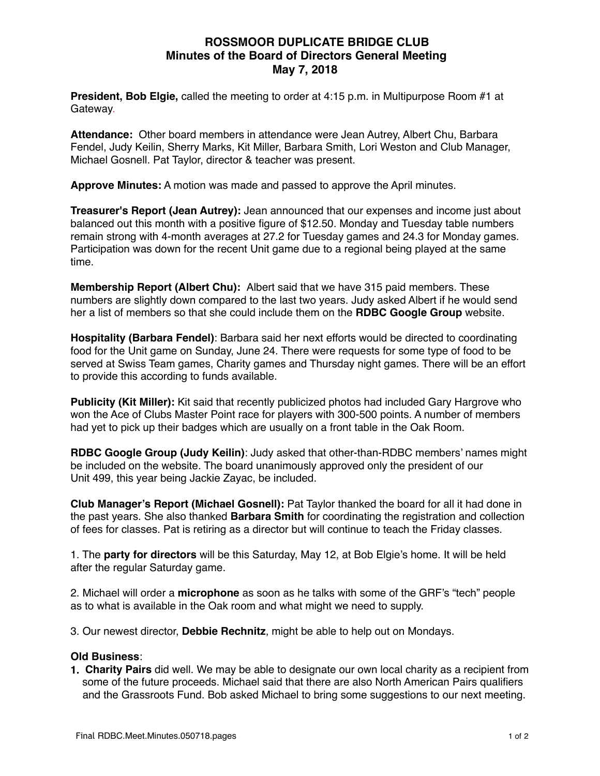## **ROSSMOOR DUPLICATE BRIDGE CLUB Minutes of the Board of Directors General Meeting May 7, 2018**

**President, Bob Elgie,** called the meeting to order at 4:15 p.m. in Multipurpose Room #1 at Gateway.

**Attendance:** Other board members in attendance were Jean Autrey, Albert Chu, Barbara Fendel, Judy Keilin, Sherry Marks, Kit Miller, Barbara Smith, Lori Weston and Club Manager, Michael Gosnell. Pat Taylor, director & teacher was present.

**Approve Minutes:** A motion was made and passed to approve the April minutes.

**Treasurer's Report (Jean Autrey):** Jean announced that our expenses and income just about balanced out this month with a positive figure of \$12.50. Monday and Tuesday table numbers remain strong with 4-month averages at 27.2 for Tuesday games and 24.3 for Monday games. Participation was down for the recent Unit game due to a regional being played at the same time.

**Membership Report (Albert Chu):** Albert said that we have 315 paid members. These numbers are slightly down compared to the last two years. Judy asked Albert if he would send her a list of members so that she could include them on the **RDBC Google Group** website.

**Hospitality (Barbara Fendel)**: Barbara said her next efforts would be directed to coordinating food for the Unit game on Sunday, June 24. There were requests for some type of food to be served at Swiss Team games, Charity games and Thursday night games. There will be an effort to provide this according to funds available.

**Publicity (Kit Miller):** Kit said that recently publicized photos had included Gary Hargrove who won the Ace of Clubs Master Point race for players with 300-500 points. A number of members had yet to pick up their badges which are usually on a front table in the Oak Room.

**RDBC Google Group (Judy Keilin)**: Judy asked that other-than-RDBC members' names might be included on the website. The board unanimously approved only the president of our Unit 499, this year being Jackie Zayac, be included.

**Club Manager's Report (Michael Gosnell):** Pat Taylor thanked the board for all it had done in the past years. She also thanked **Barbara Smith** for coordinating the registration and collection of fees for classes. Pat is retiring as a director but will continue to teach the Friday classes.

1. The **party for directors** will be this Saturday, May 12, at Bob Elgie's home. It will be held after the regular Saturday game.

2. Michael will order a **microphone** as soon as he talks with some of the GRF's "tech" people as to what is available in the Oak room and what might we need to supply.

3. Our newest director, **Debbie Rechnitz**, might be able to help out on Mondays.

## **Old Business**:

**1. Charity Pairs** did well. We may be able to designate our own local charity as a recipient from some of the future proceeds. Michael said that there are also North American Pairs qualifiers and the Grassroots Fund. Bob asked Michael to bring some suggestions to our next meeting.